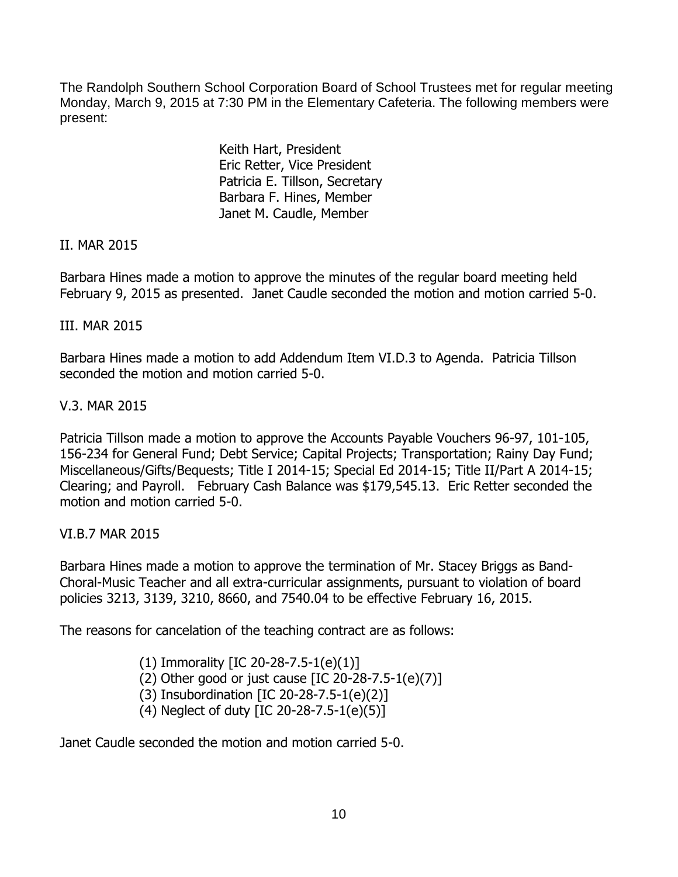The Randolph Southern School Corporation Board of School Trustees met for regular meeting Monday, March 9, 2015 at 7:30 PM in the Elementary Cafeteria. The following members were present:

> Keith Hart, President Eric Retter, Vice President Patricia E. Tillson, Secretary Barbara F. Hines, Member Janet M. Caudle, Member

## II. MAR 2015

Barbara Hines made a motion to approve the minutes of the regular board meeting held February 9, 2015 as presented. Janet Caudle seconded the motion and motion carried 5-0.

## III. MAR 2015

Barbara Hines made a motion to add Addendum Item VI.D.3 to Agenda. Patricia Tillson seconded the motion and motion carried 5-0.

# V.3. MAR 2015

Patricia Tillson made a motion to approve the Accounts Payable Vouchers 96-97, 101-105, 156-234 for General Fund; Debt Service; Capital Projects; Transportation; Rainy Day Fund; Miscellaneous/Gifts/Bequests; Title I 2014-15; Special Ed 2014-15; Title II/Part A 2014-15; Clearing; and Payroll. February Cash Balance was \$179,545.13. Eric Retter seconded the motion and motion carried 5-0.

## VI.B.7 MAR 2015

Barbara Hines made a motion to approve the termination of Mr. Stacey Briggs as Band-Choral-Music Teacher and all extra-curricular assignments, pursuant to violation of board policies 3213, 3139, 3210, 8660, and 7540.04 to be effective February 16, 2015.

The reasons for cancelation of the teaching contract are as follows:

- (1) Immorality [IC 20-28-7.5-1(e)(1)]
- (2) Other good or just cause  $[IC 20-28-7.5-1(e)(7)]$
- (3) Insubordination [IC 20-28-7.5-1(e)(2)]
- (4) Neglect of duty [IC 20-28-7.5-1(e)(5)]

Janet Caudle seconded the motion and motion carried 5-0.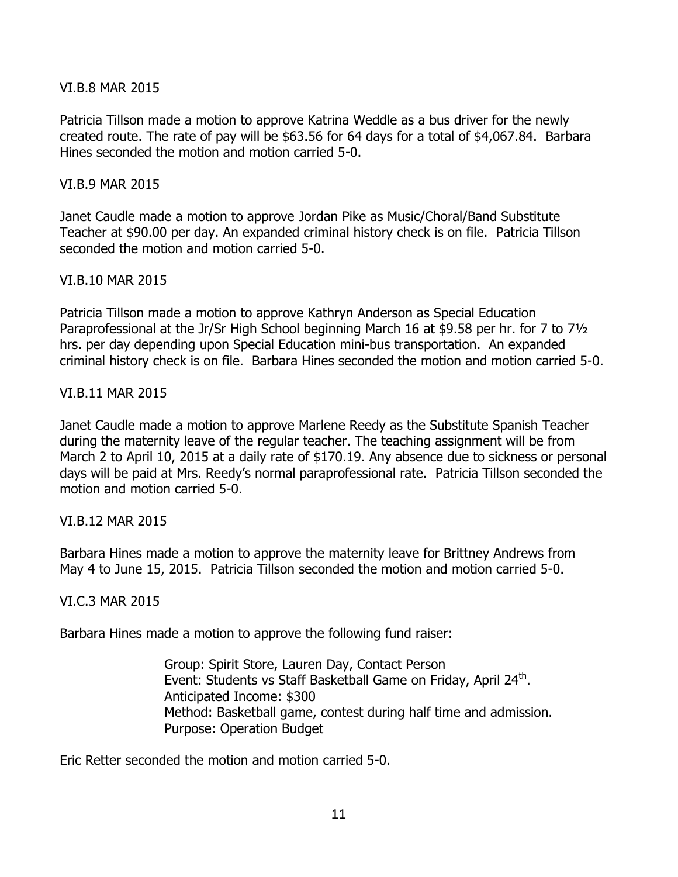### VI.B.8 MAR 2015

Patricia Tillson made a motion to approve Katrina Weddle as a bus driver for the newly created route. The rate of pay will be \$63.56 for 64 days for a total of \$4,067.84. Barbara Hines seconded the motion and motion carried 5-0.

### VI.B.9 MAR 2015

Janet Caudle made a motion to approve Jordan Pike as Music/Choral/Band Substitute Teacher at \$90.00 per day. An expanded criminal history check is on file. Patricia Tillson seconded the motion and motion carried 5-0.

### VI.B.10 MAR 2015

Patricia Tillson made a motion to approve Kathryn Anderson as Special Education Paraprofessional at the Jr/Sr High School beginning March 16 at \$9.58 per hr. for 7 to 7½ hrs. per day depending upon Special Education mini-bus transportation. An expanded criminal history check is on file. Barbara Hines seconded the motion and motion carried 5-0.

### VI.B.11 MAR 2015

Janet Caudle made a motion to approve Marlene Reedy as the Substitute Spanish Teacher during the maternity leave of the regular teacher. The teaching assignment will be from March 2 to April 10, 2015 at a daily rate of \$170.19. Any absence due to sickness or personal days will be paid at Mrs. Reedy's normal paraprofessional rate. Patricia Tillson seconded the motion and motion carried 5-0.

#### VI.B.12 MAR 2015

Barbara Hines made a motion to approve the maternity leave for Brittney Andrews from May 4 to June 15, 2015. Patricia Tillson seconded the motion and motion carried 5-0.

## VI.C.3 MAR 2015

Barbara Hines made a motion to approve the following fund raiser:

Group: Spirit Store, Lauren Day, Contact Person Event: Students vs Staff Basketball Game on Friday, April 24<sup>th</sup>. Anticipated Income: \$300 Method: Basketball game, contest during half time and admission. Purpose: Operation Budget

Eric Retter seconded the motion and motion carried 5-0.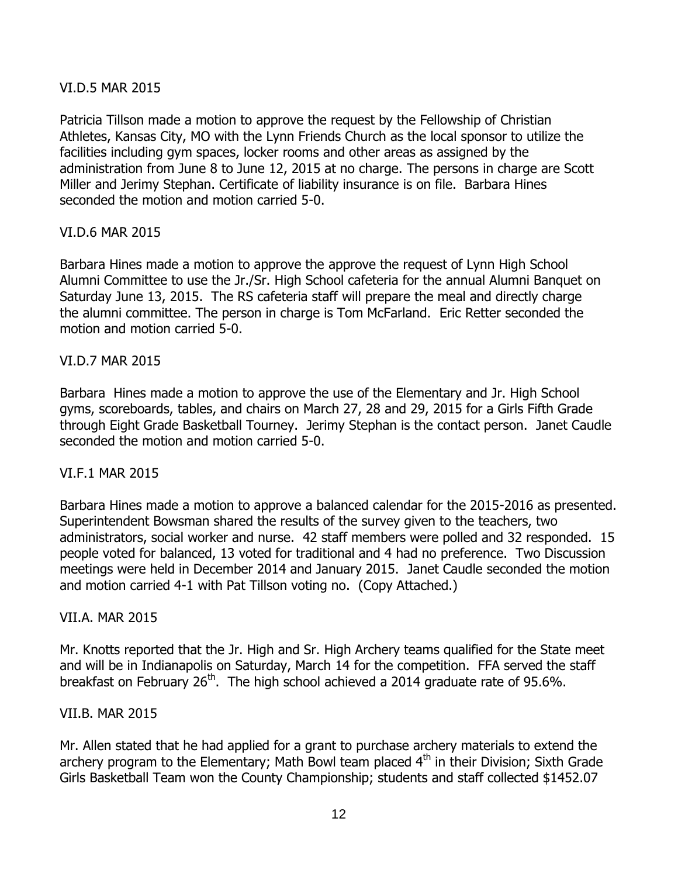## VI.D.5 MAR 2015

Patricia Tillson made a motion to approve the request by the Fellowship of Christian Athletes, Kansas City, MO with the Lynn Friends Church as the local sponsor to utilize the facilities including gym spaces, locker rooms and other areas as assigned by the administration from June 8 to June 12, 2015 at no charge. The persons in charge are Scott Miller and Jerimy Stephan. Certificate of liability insurance is on file. Barbara Hines seconded the motion and motion carried 5-0.

### VI.D.6 MAR 2015

Barbara Hines made a motion to approve the approve the request of Lynn High School Alumni Committee to use the Jr./Sr. High School cafeteria for the annual Alumni Banquet on Saturday June 13, 2015. The RS cafeteria staff will prepare the meal and directly charge the alumni committee. The person in charge is Tom McFarland. Eric Retter seconded the motion and motion carried 5-0.

#### VI.D.7 MAR 2015

Barbara Hines made a motion to approve the use of the Elementary and Jr. High School gyms, scoreboards, tables, and chairs on March 27, 28 and 29, 2015 for a Girls Fifth Grade through Eight Grade Basketball Tourney. Jerimy Stephan is the contact person. Janet Caudle seconded the motion and motion carried 5-0.

#### VI.F.1 MAR 2015

Barbara Hines made a motion to approve a balanced calendar for the 2015-2016 as presented. Superintendent Bowsman shared the results of the survey given to the teachers, two administrators, social worker and nurse. 42 staff members were polled and 32 responded. 15 people voted for balanced, 13 voted for traditional and 4 had no preference. Two Discussion meetings were held in December 2014 and January 2015. Janet Caudle seconded the motion and motion carried 4-1 with Pat Tillson voting no. (Copy Attached.)

#### VII.A. MAR 2015

Mr. Knotts reported that the Jr. High and Sr. High Archery teams qualified for the State meet and will be in Indianapolis on Saturday, March 14 for the competition. FFA served the staff breakfast on February  $26<sup>th</sup>$ . The high school achieved a 2014 graduate rate of 95.6%.

#### VII.B. MAR 2015

Mr. Allen stated that he had applied for a grant to purchase archery materials to extend the archery program to the Elementary; Math Bowl team placed  $4<sup>th</sup>$  in their Division; Sixth Grade Girls Basketball Team won the County Championship; students and staff collected \$1452.07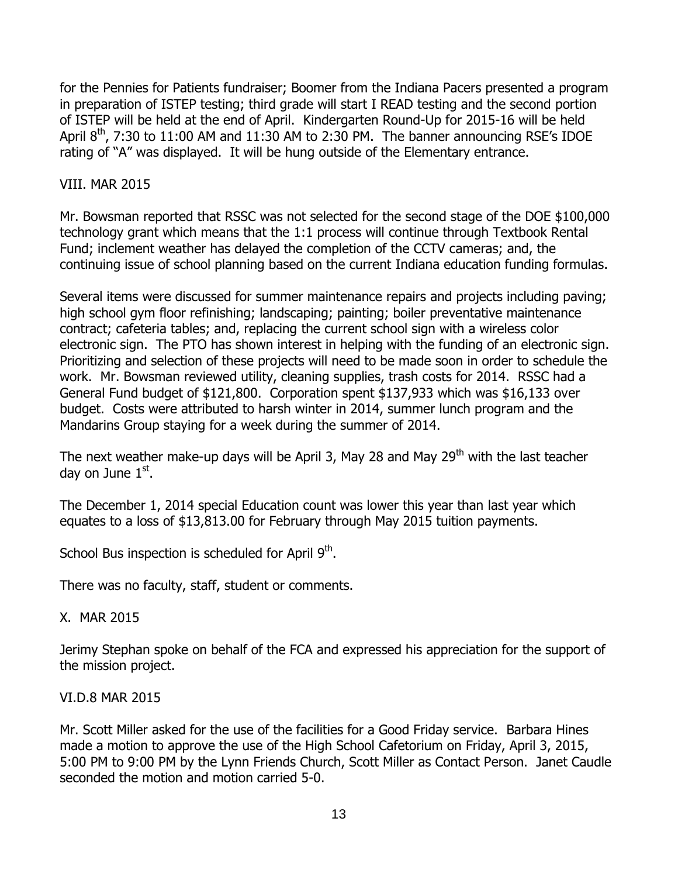for the Pennies for Patients fundraiser; Boomer from the Indiana Pacers presented a program in preparation of ISTEP testing; third grade will start I READ testing and the second portion of ISTEP will be held at the end of April. Kindergarten Round-Up for 2015-16 will be held April  $8<sup>th</sup>$ , 7:30 to 11:00 AM and 11:30 AM to 2:30 PM. The banner announcing RSE's IDOE rating of "A" was displayed. It will be hung outside of the Elementary entrance.

## VIII. MAR 2015

Mr. Bowsman reported that RSSC was not selected for the second stage of the DOE \$100,000 technology grant which means that the 1:1 process will continue through Textbook Rental Fund; inclement weather has delayed the completion of the CCTV cameras; and, the continuing issue of school planning based on the current Indiana education funding formulas.

Several items were discussed for summer maintenance repairs and projects including paving; high school gym floor refinishing; landscaping; painting; boiler preventative maintenance contract; cafeteria tables; and, replacing the current school sign with a wireless color electronic sign. The PTO has shown interest in helping with the funding of an electronic sign. Prioritizing and selection of these projects will need to be made soon in order to schedule the work. Mr. Bowsman reviewed utility, cleaning supplies, trash costs for 2014. RSSC had a General Fund budget of \$121,800. Corporation spent \$137,933 which was \$16,133 over budget. Costs were attributed to harsh winter in 2014, summer lunch program and the Mandarins Group staying for a week during the summer of 2014.

The next weather make-up days will be April 3, May 28 and May  $29<sup>th</sup>$  with the last teacher day on June 1<sup>st</sup>.

The December 1, 2014 special Education count was lower this year than last year which equates to a loss of \$13,813.00 for February through May 2015 tuition payments.

School Bus inspection is scheduled for April 9<sup>th</sup>.

There was no faculty, staff, student or comments.

#### X. MAR 2015

Jerimy Stephan spoke on behalf of the FCA and expressed his appreciation for the support of the mission project.

#### VI.D.8 MAR 2015

Mr. Scott Miller asked for the use of the facilities for a Good Friday service. Barbara Hines made a motion to approve the use of the High School Cafetorium on Friday, April 3, 2015, 5:00 PM to 9:00 PM by the Lynn Friends Church, Scott Miller as Contact Person. Janet Caudle seconded the motion and motion carried 5-0.